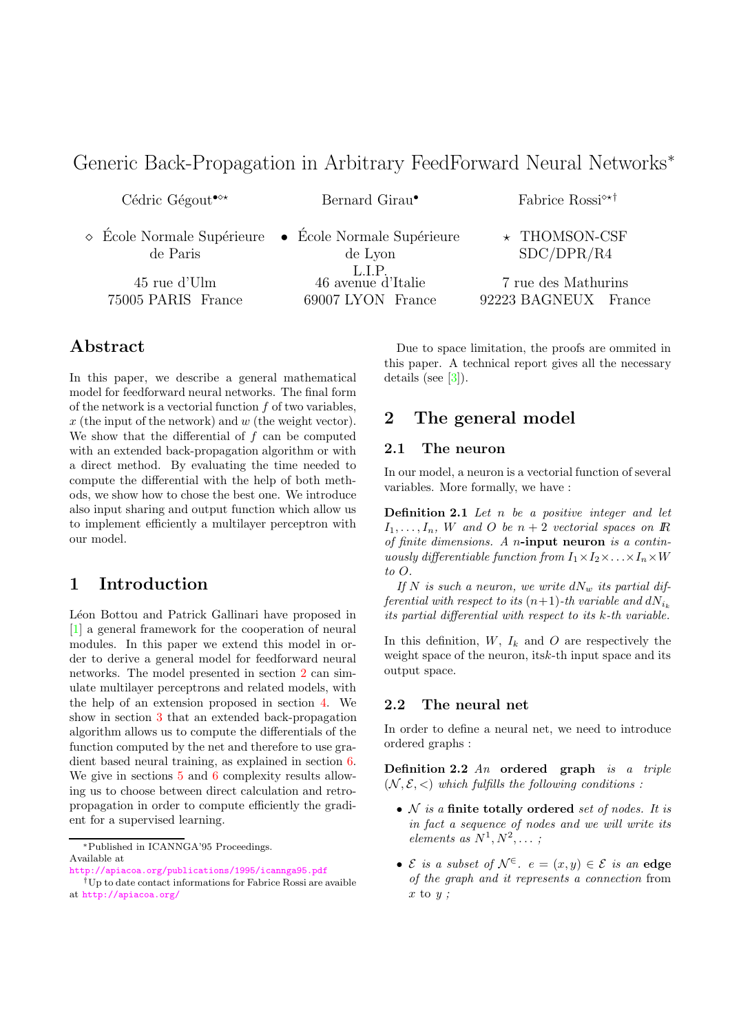# Generic Back-Propagation in Arbitrary FeedForward Neural Networks<sup>∗</sup>

Cédric Gégout<sup>•</sup><sup>\*\*</sup> Bernard Girau<sup>•</sup> Fabrice Rossi<sup>\*\*†</sup>

 $\Diamond$  École Normale Supérieure de Paris

 $\bullet$  École Normale Supérieure de Lyon L.I.P.<br>46 avenue d'Italie 45 rue d'Ulm 46 avenue d'Italie 7 rue des Mathurins 75005 PARIS France 69007 LYON France 92223 BAGNEUX France

 $\star$  THOMSON-CSF SDC/DPR/R4

Abstract

In this paper, we describe a general mathematical model for feedforward neural networks. The final form of the network is a vectorial function  $f$  of two variables,  $x$  (the input of the network) and  $w$  (the weight vector). We show that the differential of  $f$  can be computed with an extended back-propagation algorithm or with a direct method. By evaluating the time needed to compute the differential with the help of both methods, we show how to chose the best one. We introduce also input sharing and output function which allow us to implement efficiently a multilayer perceptron with our model.

## 1 Introduction

Léon Bottou and Patrick Gallinari have proposed in [\[1\]](#page-4-0) a general framework for the cooperation of neural modules. In this paper we extend this model in order to derive a general model for feedforward neural networks. The model presented in section [2](#page-0-0) can simulate multilayer perceptrons and related models, with the help of an extension proposed in section [4.](#page-2-0) We show in section [3](#page-1-0) that an extended back-propagation algorithm allows us to compute the differentials of the function computed by the net and therefore to use gradient based neural training, as explained in section [6.](#page-3-0) We give in sections [5](#page-3-1) and [6](#page-3-0) complexity results allowing us to choose between direct calculation and retropropagation in order to compute efficiently the gradient for a supervised learning.

Due to space limitation, the proofs are ommited in this paper. A technical report gives all the necessary details (see  $[3]$ ).

## <span id="page-0-0"></span>2 The general model

## 2.1 The neuron

In our model, a neuron is a vectorial function of several variables. More formally, we have :

**Definition 2.1** Let  $n$  be a positive integer and let  $I_1, \ldots, I_n$ , W and O be  $n+2$  vectorial spaces on  $\mathbb{R}$ of finite dimensions. A n-input neuron is a continuously differentiable function from  $I_1 \times I_2 \times \ldots \times I_n \times W$ to O.

If N is such a neuron, we write  $dN_w$  its partial differential with respect to its  $(n+1)$ -th variable and  $dN_{i_k}$ its partial differential with respect to its k-th variable.

In this definition,  $W$ ,  $I_k$  and  $O$  are respectively the weight space of the neuron, itsk-th input space and its output space.

### 2.2 The neural net

In order to define a neural net, we need to introduce ordered graphs :

Definition 2.2 An ordered graph is a triple  $(N, \mathcal{E}, <)$  which fulfills the following conditions :

- $N$  is a finite totally ordered set of nodes. It is in fact a sequence of nodes and we will write its elements as  $N^1, N^2, \ldots$ ;
- $\mathcal E$  is a subset of  $\mathcal N^{\in}$ .  $e = (x, y) \in \mathcal E$  is an edge of the graph and it represents a connection from  $x$  to  $y$ ;

<sup>∗</sup>Published in ICANNGA'95 Proceedings. Available at

<http://apiacoa.org/publications/1995/icannga95.pdf>

<sup>†</sup>Up to date contact informations for Fabrice Rossi are avaible at <http://apiacoa.org/>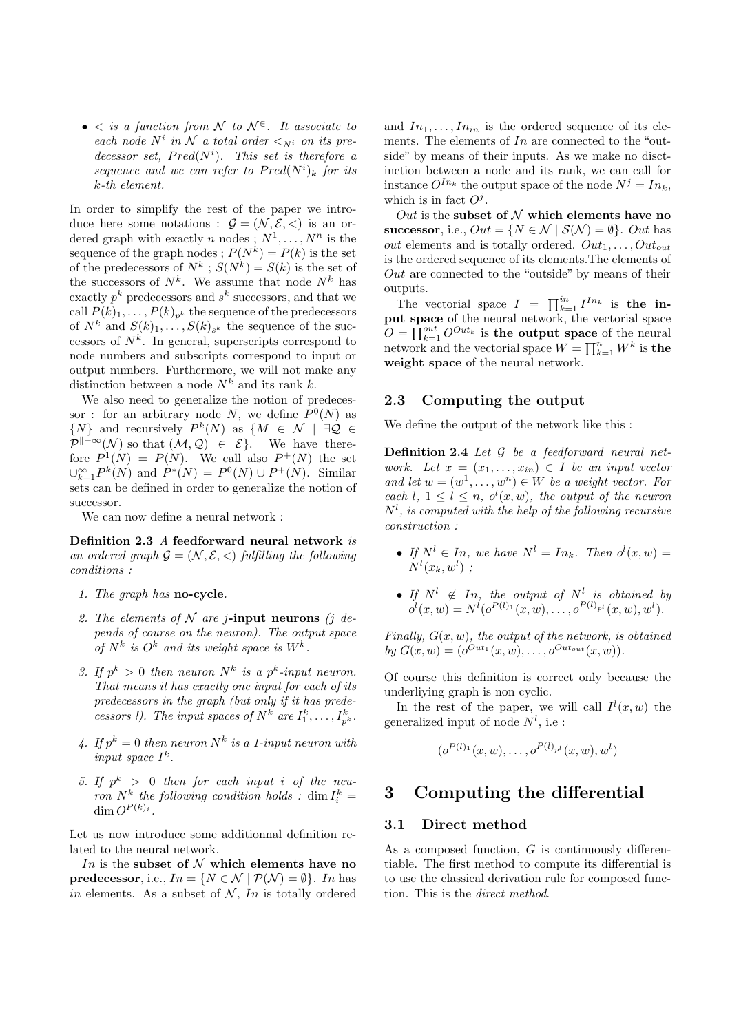•  $\epsilon$  is a function from N to  $\mathcal{N}^{\epsilon}$ . It associate to each node  $N^i$  in  $\mathcal N$  a total order  $\lt_{N^i}$  on its predecessor set,  $Pred(N<sup>i</sup>)$ . This set is therefore a sequence and we can refer to  $Pred(N^i)_k$  for its k-th element.

In order to simplify the rest of the paper we introduce here some notations :  $\mathcal{G} = (\mathcal{N}, \mathcal{E}, \langle)$  is an ordered graph with exactly n nodes;  $N^1, \ldots, N^n$  is the sequence of the graph nodes ;  $P(N^k) = P(k)$  is the set of the predecessors of  $N^k$ ;  $S(N^k) = S(k)$  is the set of the successors of  $N^k$ . We assume that node  $N^k$  has exactly  $p^k$  predecessors and  $s^k$  successors, and that we call  $P(k)_1, \ldots, P(k)_{p^k}$  the sequence of the predecessors of  $N^k$  and  $S(k)_1, \ldots, S(k)_{s^k}$  the sequence of the successors of  $N^k$ . In general, superscripts correspond to node numbers and subscripts correspond to input or output numbers. Furthermore, we will not make any distinction between a node  $N^k$  and its rank k.

We also need to generalize the notion of predecessor : for an arbitrary node N, we define  $P^0(N)$  as  $\{N\}$  and recursively  $P^k(N)$  as  $\{M \in \mathcal{N} \mid \exists \mathcal{Q} \in$  $\mathcal{P}^{\parallel -\infty}(\mathcal{N})$  so that  $(\mathcal{M}, \mathcal{Q}) \in \mathcal{E}$ . We have the refore  $P^1(N) = P(N)$ . We call also  $P^+(N)$  the set  $\bigcup_{k=1}^{\infty} P^k(N)$  and  $P^*(N) = P^0(N) \cup P^+(N)$ . Similar sets can be defined in order to generalize the notion of successor.

We can now define a neural network :

Definition 2.3 A feedforward neural network is an ordered graph  $G = (N, \mathcal{E}, <)$  fulfilling the following conditions :

- 1. The graph has no-cycle.
- 2. The elements of  $N$  are j-input neurons (j depends of course on the neuron). The output space of  $N^k$  is  $O^k$  and its weight space is  $W^k$ .
- 3. If  $p^k > 0$  then neuron  $N^k$  is a  $p^k$ -input neuron. That means it has exactly one input for each of its predecessors in the graph (but only if it has predecessors !). The input spaces of  $N^k$  are  $I_1^k, \ldots, I_{p^k}^k$ .
- 4. If  $p^k = 0$  then neuron  $N^k$  is a 1-input neuron with input space  $I^k$ .
- 5. If  $p^k$  > 0 then for each input i of the neuron  $N^k$  the following condition holds : dim  $I_i^k =$  $\dim O^{P(k)_i}$ .

Let us now introduce some additionnal definition related to the neural network.

In is the subset of  $N$  which elements have no **predecessor**, i.e.,  $In = \{N \in \mathcal{N} \mid \mathcal{P}(\mathcal{N}) = \emptyset\}$ . In has in elements. As a subset of  $N$ , In is totally ordered and  $In_1, \ldots, In_{in}$  is the ordered sequence of its elements. The elements of  $In$  are connected to the "outside" by means of their inputs. As we make no disctinction between a node and its rank, we can call for instance  $O^{In_k}$  the output space of the node  $N^j = In_k$ , which is in fact  $O^j$ .

 $Out$  is the subset of  $N$  which elements have no successor, i.e.,  $Out = \{N \in \mathcal{N} \mid \mathcal{S}(\mathcal{N}) = \emptyset\}$ . Out has *out* elements and is totally ordered.  $Out_1, \ldots, Out_{out}$ is the ordered sequence of its elements.The elements of Out are connected to the "outside" by means of their outputs.

The vectorial space  $I = \prod_{k=1}^{in} I^{In_k}$  is the input space of the neural network, the vectorial space  $\tilde{O} = \prod_{k=1}^{out} O^{Out_k}$  is the output space of the neural network and the vectorial space  $W = \prod_{k=1}^{n} W^k$  is the weight space of the neural network.

#### 2.3 Computing the output

We define the output of the network like this :

**Definition 2.4** Let  $G$  be a feedforward neural network. Let  $x = (x_1, \ldots, x_{in}) \in I$  be an input vector and let  $w = (w^1, \dots, w^n) \in W$  be a weight vector. For each  $l, 1 \leq l \leq n, o^l(x, w)$ , the output of the neuron  $N^l$ , is computed with the help of the following recursive construction :

- If  $N^l \in In$ , we have  $N^l = In_k$ . Then  $o^l(x, w) =$  $N^l(x_k, w^l)$ ;
- If  $N^l \notin In$ , the output of  $N^l$  is obtained by  $o^l(x,w) = N^l(o^{P(l)_1}(x,w), \ldots, o^{P(l)_{p^l}}(x,w), w^l).$

Finally,  $G(x, w)$ , the output of the network, is obtained by  $G(x, w) = (o^{Out_1}(x, w), \ldots, o^{Out_{out}}(x, w)).$ 

Of course this definition is correct only because the underliying graph is non cyclic.

In the rest of the paper, we will call  $I^l(x, w)$  the generalized input of node  $N^l$ , i.e :

$$
(o^{P(l)_1}(x,w),\ldots,o^{P(l)_{p^l}}(x,w),w^l)
$$

## <span id="page-1-0"></span>3 Computing the differential

#### 3.1 Direct method

As a composed function,  $G$  is continuously differentiable. The first method to compute its differential is to use the classical derivation rule for composed function. This is the direct method.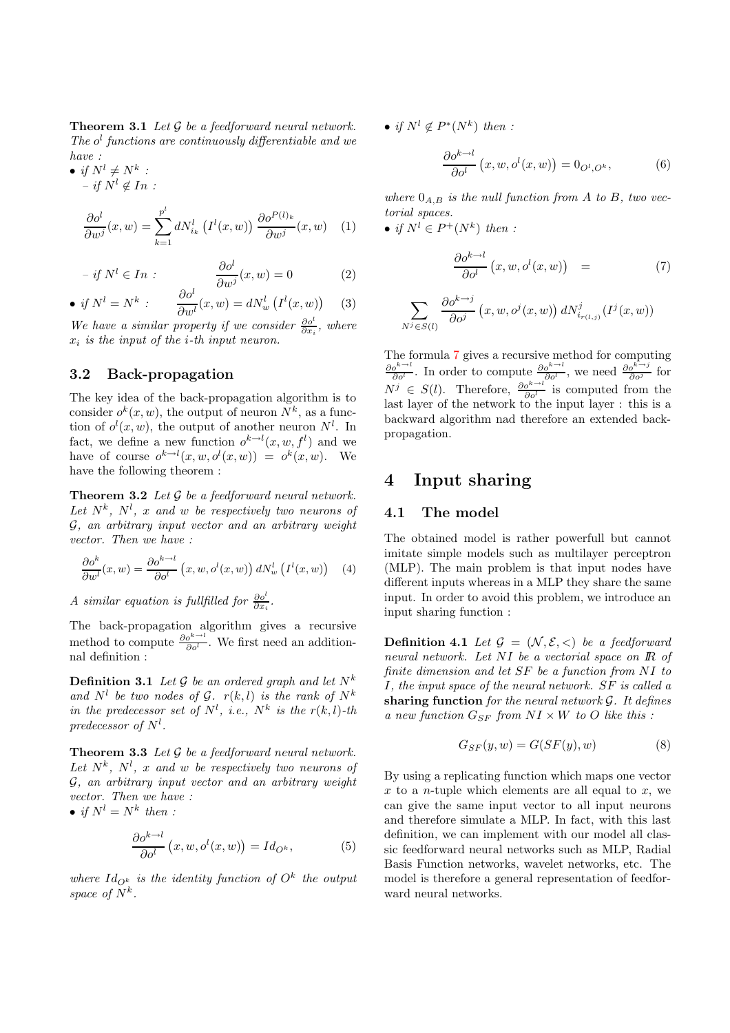**Theorem 3.1** Let  $\mathcal G$  be a feedforward neural network. The  $o<sup>l</sup>$  functions are continuously differentiable and we have :

 $\bullet \text{ if } N^l \neq N^k \text{ : }$  $-$  if  $N^l \notin In$ :

$$
\frac{\partial o^l}{\partial w^j}(x, w) = \sum_{k=1}^{p^l} dN_{i_k}^l \left( I^l(x, w) \right) \frac{\partial o^{P(l)_k}}{\partial w^j}(x, w) \quad (1)
$$

$$
- if Nl \in In : \frac{\partial ol}{\partial wj} (x, w) = 0 \qquad (2)
$$

• if 
$$
N^l = N^k
$$
:  $\frac{\partial o^l}{\partial w^l}(x, w) = dN_w^l(I^l(x, w))$  (3)

We have a similar property if we consider  $\frac{\partial o^l}{\partial x_i}$  $\frac{\partial o^*}{\partial x_i}$ , where  $x_i$  is the input of the *i*-th input neuron.

## 3.2 Back-propagation

The key idea of the back-propagation algorithm is to consider  $o^k(x, w)$ , the output of neuron  $N^k$ , as a function of  $o^l(x, w)$ , the output of another neuron  $N^l$ . In fact, we define a new function  $o^{k\to l}(x, w, f^l)$  and we have of course  $o^{k\to l}(x, w, o^l(x, w)) = o^k(x, w)$ . We have the following theorem :

Theorem 3.2 Let G be a feedforward neural network. Let  $N^k$ ,  $N^l$ , x and w be respectively two neurons of G, an arbitrary input vector and an arbitrary weight vector. Then we have :

$$
\frac{\partial o^k}{\partial w^l}(x, w) = \frac{\partial o^{k \to l}}{\partial o^l}(x, w, o^l(x, w)) dN_w^l(I^l(x, w)) \quad (4)
$$

A similar equation is fullfilled for  $\frac{\partial o^l}{\partial x}$ .  $\frac{\partial o^i}{\partial x_i}$ .

The back-propagation algorithm gives a recursive method to compute  $\frac{\partial o^{k\to l}}{\partial o^l}$  $\frac{\partial^{n}}{\partial o^{l}}$ . We first need an additionnal definition :

**Definition 3.1** Let G be an ordered graph and let  $N^k$ and  $N^l$  be two nodes of  $\mathcal{G}$ .  $r(k, l)$  is the rank of  $N^k$ in the predecessor set of  $N^l$ , i.e.,  $N^k$  is the  $r(k, l)$ -th  $predecessor$  of  $N^l$ .

**Theorem 3.3** Let  $\mathcal G$  be a feedforward neural network. Let  $N^k$ ,  $N^l$ , x and w be respectively two neurons of G, an arbitrary input vector and an arbitrary weight vector. Then we have : • if  $N^l = N^k$  then:

$$
\frac{\partial o^{k \to l}}{\partial o^l}(x, w, o^l(x, w)) = Id_{O^k},\tag{5}
$$

where  $Id_{O^k}$  is the identity function of  $O^k$  the output space of  $N^k$ .

• if  $N^l \notin P^*(N^k)$  then:

$$
\frac{\partial o^{k \to l}}{\partial o^l}(x, w, o^l(x, w)) = 0_{O^l, O^k},\tag{6}
$$

where  $0_{A,B}$  is the null function from A to B, two vectorial spaces.

<span id="page-2-1"></span>• if  $N^l \in P^+(N^k)$  then:

$$
\frac{\partial o^{k \to l}}{\partial o^l}(x, w, o^l(x, w)) = \tag{7}
$$

$$
\sum_{N^j \in S(l)} \frac{\partial o^{k \to j}}{\partial o^j} (x, w, o^j(x, w)) dN_{i_{r(l,j)}}^j (I^j(x, w))
$$

The formula [7](#page-2-1) gives a recursive method for computing  $\partial o^{k\rightarrow l}$  $\frac{\partial^{k\rightarrow l}}{\partial o^l}$ . In order to compute  $\frac{\partial o^{k\rightarrow l}}{\partial o^l}$  $\frac{\partial^{k\rightarrow l}}{\partial o^l}$ , we need  $\frac{\partial o^{k\rightarrow j}}{\partial o^j}$  $\frac{\partial^{\alpha} \partial \partial^{\beta}}{\partial \alpha^{\beta}}$  for  $N^j \in S(l)$ . Therefore,  $\frac{\partial o^{k\to l}}{\partial q^l}$  $\frac{\partial^{n-1}}{\partial o^{l}}$  is computed from the last layer of the network to the input layer : this is a backward algorithm nad therefore an extended backpropagation.

## <span id="page-2-0"></span>4 Input sharing

#### 4.1 The model

The obtained model is rather powerfull but cannot imitate simple models such as multilayer perceptron (MLP). The main problem is that input nodes have different inputs whereas in a MLP they share the same input. In order to avoid this problem, we introduce an input sharing function :

**Definition 4.1** Let  $\mathcal{G} = (\mathcal{N}, \mathcal{E}, \langle)$  be a feedforward neural network. Let NI be a vectorial space on IR of finite dimension and let SF be a function from NI to I, the input space of the neural network. SF is called a sharing function for the neural network  $G$ . It defines a new function  $G_{SF}$  from  $NI \times W$  to O like this :

$$
G_{SF}(y, w) = G(SF(y), w)
$$
\n(8)

By using a replicating function which maps one vector x to a n-tuple which elements are all equal to x, we can give the same input vector to all input neurons and therefore simulate a MLP. In fact, with this last definition, we can implement with our model all classic feedforward neural networks such as MLP, Radial Basis Function networks, wavelet networks, etc. The model is therefore a general representation of feedforward neural networks.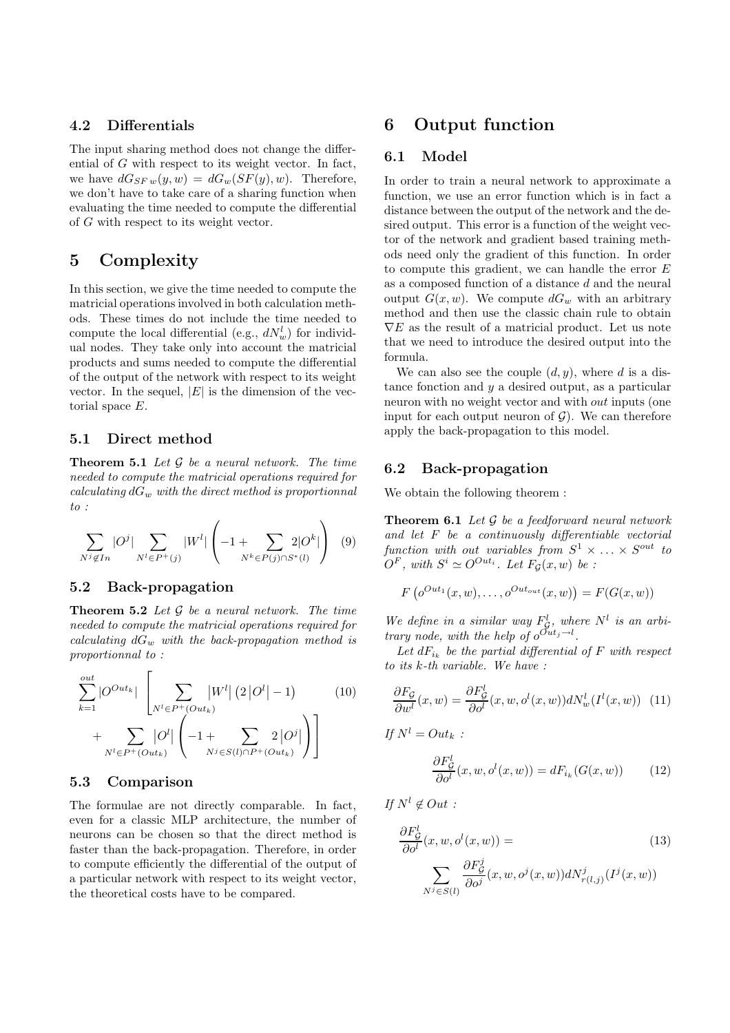#### 4.2 Differentials

The input sharing method does not change the differential of G with respect to its weight vector. In fact, we have  $dG_{SF,w}(y, w) = dG_w(SF(y), w)$ . Therefore, we don't have to take care of a sharing function when evaluating the time needed to compute the differential of G with respect to its weight vector.

## <span id="page-3-1"></span>5 Complexity

In this section, we give the time needed to compute the matricial operations involved in both calculation methods. These times do not include the time needed to compute the local differential (e.g.,  $dN_w^l$ ) for individual nodes. They take only into account the matricial products and sums needed to compute the differential of the output of the network with respect to its weight vector. In the sequel,  $|E|$  is the dimension of the vectorial space E.

### 5.1 Direct method

**Theorem 5.1** Let  $\mathcal G$  be a neural network. The time needed to compute the matricial operations required for calculating  $dG_w$  with the direct method is proportionnal  $to$ .

$$
\sum_{N^{j} \notin In} |O^{j}| \sum_{N^{l} \in P^{+}(j)} |W^{l}| \left( -1 + \sum_{N^{k} \in P(j) \cap S^{*}(l)} 2|O^{k}| \right) (9)
$$

### 5.2 Back-propagation

**Theorem 5.2** Let  $\mathcal G$  be a neural network. The time needed to compute the matricial operations required for calculating  $dG_w$  with the back-propagation method is proportionnal to :

$$
\sum_{k=1}^{out} |O^{Out_k}| \left[ \sum_{N^l \in P^+(Out_k)} |W^l| (2|O^l| - 1) \right] \tag{10}
$$

$$
+ \sum_{N^l \in P^+(Out_k)} |O^l| \left( -1 + \sum_{N^j \in S(l) \cap P^+(Out_k)} 2|O^j| \right)
$$

### 5.3 Comparison

The formulae are not directly comparable. In fact, even for a classic MLP architecture, the number of neurons can be chosen so that the direct method is faster than the back-propagation. Therefore, in order to compute efficiently the differential of the output of a particular network with respect to its weight vector, the theoretical costs have to be compared.

## <span id="page-3-0"></span>6 Output function

## 6.1 Model

In order to train a neural network to approximate a function, we use an error function which is in fact a distance between the output of the network and the desired output. This error is a function of the weight vector of the network and gradient based training methods need only the gradient of this function. In order to compute this gradient, we can handle the error  $E$ as a composed function of a distance d and the neural output  $G(x, w)$ . We compute  $dG_w$  with an arbitrary method and then use the classic chain rule to obtain  $\nabla E$  as the result of a matricial product. Let us note that we need to introduce the desired output into the formula.

We can also see the couple  $(d, y)$ , where d is a distance fonction and  $y$  a desired output, as a particular neuron with no weight vector and with out inputs (one input for each output neuron of  $\mathcal{G}$ ). We can therefore apply the back-propagation to this model.

#### 6.2 Back-propagation

<span id="page-3-2"></span>We obtain the following theorem :

**Theorem 6.1** Let  $\mathcal G$  be a feedforward neural network and let F be a continuously differentiable vectorial function with out variables from  $S^1 \times \ldots \times S^{out}$  to  $O^F$ , with  $S^i \simeq O^{Out_i}$ . Let  $F_{\mathcal{G}}(x, w)$  be:

$$
F\left(o^{Out_1}(x,w),\ldots,o^{Out_{out}}(x,w)\right)=F(G(x,w))
$$

We define in a similar way  $F_{\mathcal{G}}^l$ , where  $N^l$  is an arbitrary node, with the help of  $o^{\sigma u t_j \rightarrow l}$ .

Let  $dF_{i_k}$  be the partial differential of F with respect to its k-th variable. We have :

$$
\frac{\partial F_{\mathcal{G}}}{\partial w^{l}}(x, w) = \frac{\partial F_{\mathcal{G}}^{l}}{\partial o^{l}}(x, w, o^{l}(x, w)) dN_{w}^{l}(I^{l}(x, w)) \quad (11)
$$

$$
If N^l = Out_k :
$$

$$
\frac{\partial F_{\mathcal{G}}^{l}}{\partial o^{l}}(x, w, o^{l}(x, w)) = dF_{i_{k}}(G(x, w)) \qquad (12)
$$

If  $N^l \notin Out$  :

$$
\frac{\partial F_{\mathcal{G}}^{l}}{\partial o^{l}}(x, w, o^{l}(x, w)) = \qquad (13)
$$

$$
\sum_{N^{j} \in S(l)} \frac{\partial F_{\mathcal{G}}^{j}}{\partial o^{j}}(x, w, o^{j}(x, w)) dN^{j}_{r(l,j)}(I^{j}(x, w))
$$